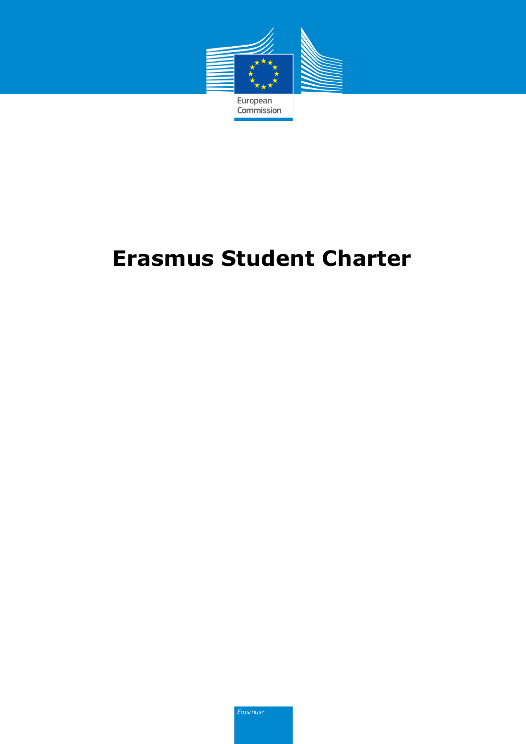

# **Erasmus Student Charter**

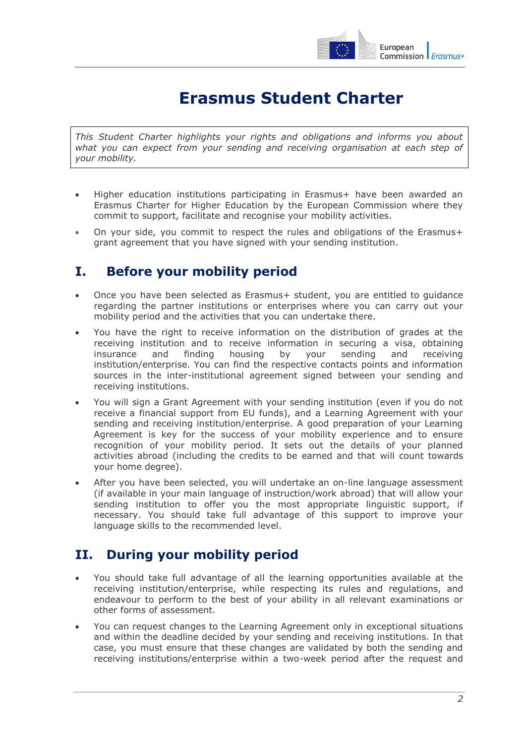

## **Erasmus Student Charter**

*This Student Charter highlights your rights and obligations and informs you about what you can expect from your sending and receiving organisation at each step of your mobility.*

- Higher education institutions participating in Erasmus+ have been awarded an Erasmus Charter for Higher Education by the European Commission where they commit to support, facilitate and recognise your mobility activities.
- On your side, you commit to respect the rules and obligations of the Erasmus+ grant agreement that you have signed with your sending institution.

#### **I. Before your mobility period**

- Once you have been selected as Erasmus+ student, you are entitled to guidance regarding the partner institutions or enterprises where you can carry out your mobility period and the activities that you can undertake there.
- You have the right to receive information on the distribution of grades at the receiving institution and to receive information in securing a visa, obtaining insurance and finding housing by your sending and receiving institution/enterprise. You can find the respective contacts points and information sources in the inter-institutional agreement signed between your sending and receiving institutions.
- You will sign a Grant Agreement with your sending institution (even if you do not receive a financial support from EU funds), and a Learning Agreement with your sending and receiving institution/enterprise. A good preparation of your Learning Agreement is key for the success of your mobility experience and to ensure recognition of your mobility period. It sets out the details of your planned activities abroad (including the credits to be earned and that will count towards your home degree).
- After you have been selected, you will undertake an on-line language assessment (if available in your main language of instruction/work abroad) that will allow your sending institution to offer you the most appropriate linguistic support, if necessary. You should take full advantage of this support to improve your language skills to the recommended level.

### **II. During your mobility period**

- You should take full advantage of all the learning opportunities available at the receiving institution/enterprise, while respecting its rules and regulations, and endeavour to perform to the best of your ability in all relevant examinations or other forms of assessment.
- You can request changes to the Learning Agreement only in exceptional situations and within the deadline decided by your sending and receiving institutions. In that case, you must ensure that these changes are validated by both the sending and receiving institutions/enterprise within a two-week period after the request and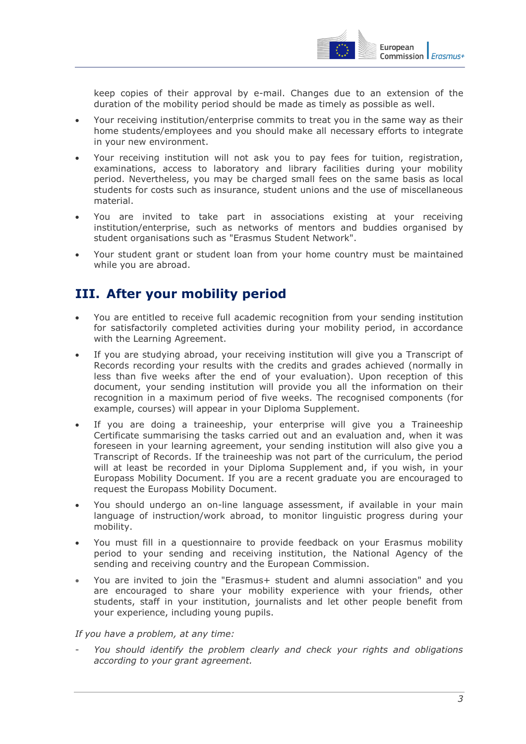

keep copies of their approval by e-mail. Changes due to an extension of the duration of the mobility period should be made as timely as possible as well.

- Your receiving institution/enterprise commits to treat you in the same way as their home students/employees and you should make all necessary efforts to integrate in your new environment.
- Your receiving institution will not ask you to pay fees for tuition, registration, examinations, access to laboratory and library facilities during your mobility period. Nevertheless, you may be charged small fees on the same basis as local students for costs such as insurance, student unions and the use of miscellaneous material.
- You are invited to take part in associations existing at your receiving institution/enterprise, such as networks of mentors and buddies organised by student organisations such as "Erasmus Student Network".
- Your student grant or student loan from your home country must be maintained while you are abroad.

### **III. After your mobility period**

- You are entitled to receive full academic recognition from your sending institution for satisfactorily completed activities during your mobility period, in accordance with the Learning Agreement.
- If you are studying abroad, your receiving institution will give you a Transcript of Records recording your results with the credits and grades achieved (normally in less than five weeks after the end of your evaluation). Upon reception of this document, your sending institution will provide you all the information on their recognition in a maximum period of five weeks. The recognised components (for example, courses) will appear in your Diploma Supplement.
- If you are doing a traineeship, your enterprise will give you a Traineeship Certificate summarising the tasks carried out and an evaluation and, when it was foreseen in your learning agreement, your sending institution will also give you a Transcript of Records. If the traineeship was not part of the curriculum, the period will at least be recorded in your Diploma Supplement and, if you wish, in your Europass Mobility Document. If you are a recent graduate you are encouraged to request the Europass Mobility Document.
- You should undergo an on-line language assessment, if available in your main language of instruction/work abroad, to monitor linguistic progress during your mobility.
- You must fill in a questionnaire to provide feedback on your Erasmus mobility period to your sending and receiving institution, the National Agency of the sending and receiving country and the European Commission.
- You are invited to join the "Erasmus+ student and alumni association" and you are encouraged to share your mobility experience with your friends, other students, staff in your institution, journalists and let other people benefit from your experience, including young pupils.

#### *If you have a problem, at any time:*

- *You should identify the problem clearly and check your rights and obligations according to your grant agreement.*